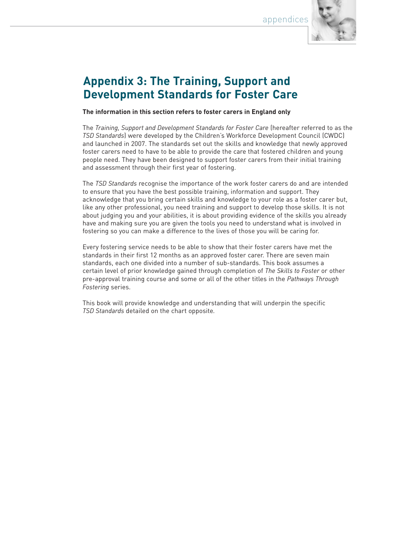appendices



## **Appendix 3: The Training, Support and Development Standards for Foster Care**

**The information in this section refers to foster carers in England only**

The *Training, Support and Development Standards for Foster Care* (hereafter referred to as the *TSD Standards*) were developed by the Children's Workforce Development Council (CWDC) and launched in 2007. The standards set out the skills and knowledge that newly approved foster carers need to have to be able to provide the care that fostered children and young people need. They have been designed to support foster carers from their initial training and assessment through their first year of fostering.

The *TSD Standards* recognise the importance of the work foster carers do and are intended to ensure that you have the best possible training, information and support. They acknowledge that you bring certain skills and knowledge to your role as a foster carer but, like any other professional, you need training and support to develop those skills. It is not about judging you and your abilities, it is about providing evidence of the skills you already have and making sure you are given the tools you need to understand what is involved in fostering so you can make a difference to the lives of those you will be caring for.

Every fostering service needs to be able to show that their foster carers have met the standards in their first 12 months as an approved foster carer. There are seven main standards, each one divided into a number of sub-standards. This book assumes a certain level of prior knowledge gained through completion of *The Skills to Foster* or other pre-approval training course and some or all of the other titles in the *Pathways Through Fostering* series.

This book will provide knowledge and understanding that will underpin the specific *TSD Standards* detailed on the chart opposite*.*